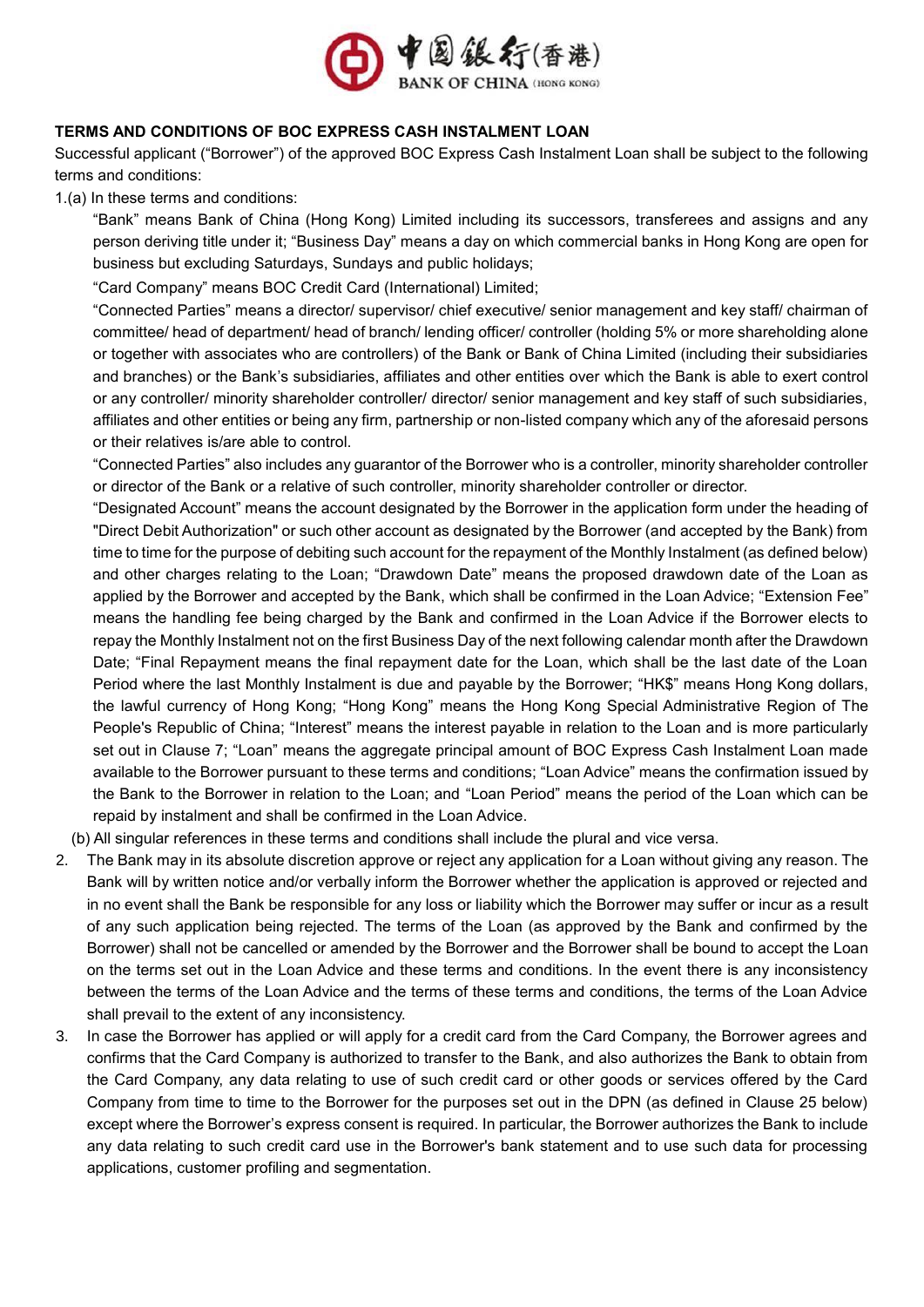

## **TERMS AND CONDITIONS OF BOC EXPRESS CASH INSTALMENT LOAN**

Successful applicant ("Borrower") of the approved BOC Express Cash Instalment Loan shall be subject to the following terms and conditions:

1.(a) In these terms and conditions:

"Bank" means Bank of China (Hong Kong) Limited including its successors, transferees and assigns and any person deriving title under it; "Business Day" means a day on which commercial banks in Hong Kong are open for business but excluding Saturdays, Sundays and public holidays;

"Card Company" means BOC Credit Card (International) Limited;

"Connected Parties" means a director/ supervisor/ chief executive/ senior management and key staff/ chairman of committee/ head of department/ head of branch/ lending officer/ controller (holding 5% or more shareholding alone or together with associates who are controllers) of the Bank or Bank of China Limited (including their subsidiaries and branches) or the Bank's subsidiaries, affiliates and other entities over which the Bank is able to exert control or any controller/ minority shareholder controller/ director/ senior management and key staff of such subsidiaries, affiliates and other entities or being any firm, partnership or non-listed company which any of the aforesaid persons or their relatives is/are able to control.

"Connected Parties" also includes any guarantor of the Borrower who is a controller, minority shareholder controller or director of the Bank or a relative of such controller, minority shareholder controller or director.

"Designated Account" means the account designated by the Borrower in the application form under the heading of "Direct Debit Authorization" or such other account as designated by the Borrower (and accepted by the Bank) from time to time for the purpose of debiting such account for the repayment of the Monthly Instalment (as defined below) and other charges relating to the Loan; "Drawdown Date" means the proposed drawdown date of the Loan as applied by the Borrower and accepted by the Bank, which shall be confirmed in the Loan Advice; "Extension Fee" means the handling fee being charged by the Bank and confirmed in the Loan Advice if the Borrower elects to repay the Monthly Instalment not on the first Business Day of the next following calendar month after the Drawdown Date; "Final Repayment means the final repayment date for the Loan, which shall be the last date of the Loan Period where the last Monthly Instalment is due and payable by the Borrower; "HK\$" means Hong Kong dollars, the lawful currency of Hong Kong; "Hong Kong" means the Hong Kong Special Administrative Region of The People's Republic of China: "Interest" means the interest payable in relation to the Loan and is more particularly set out in Clause 7; "Loan" means the aggregate principal amount of BOC Express Cash Instalment Loan made available to the Borrower pursuant to these terms and conditions; "Loan Advice" means the confirmation issued by the Bank to the Borrower in relation to the Loan; and "Loan Period" means the period of the Loan which can be repaid by instalment and shall be confirmed in the Loan Advice.

(b) All singular references in these terms and conditions shall include the plural and vice versa.

- 2. The Bank may in its absolute discretion approve or reject any application for a Loan without giving any reason. The Bank will by written notice and/or verbally inform the Borrower whether the application is approved or rejected and in no event shall the Bank be responsible for any loss or liability which the Borrower may suffer or incur as a result of any such application being rejected. The terms of the Loan (as approved by the Bank and confirmed by the Borrower) shall not be cancelled or amended by the Borrower and the Borrower shall be bound to accept the Loan on the terms set out in the Loan Advice and these terms and conditions. In the event there is any inconsistency between the terms of the Loan Advice and the terms of these terms and conditions, the terms of the Loan Advice shall prevail to the extent of any inconsistency.
- 3. In case the Borrower has applied or will apply for a credit card from the Card Company, the Borrower agrees and confirms that the Card Company is authorized to transfer to the Bank, and also authorizes the Bank to obtain from the Card Company, any data relating to use of such credit card or other goods or services offered by the Card Company from time to time to the Borrower for the purposes set out in the DPN (as defined in Clause 25 below) except where the Borrower's express consent is required. In particular, the Borrower authorizes the Bank to include any data relating to such credit card use in the Borrower's bank statement and to use such data for processing applications, customer profiling and segmentation.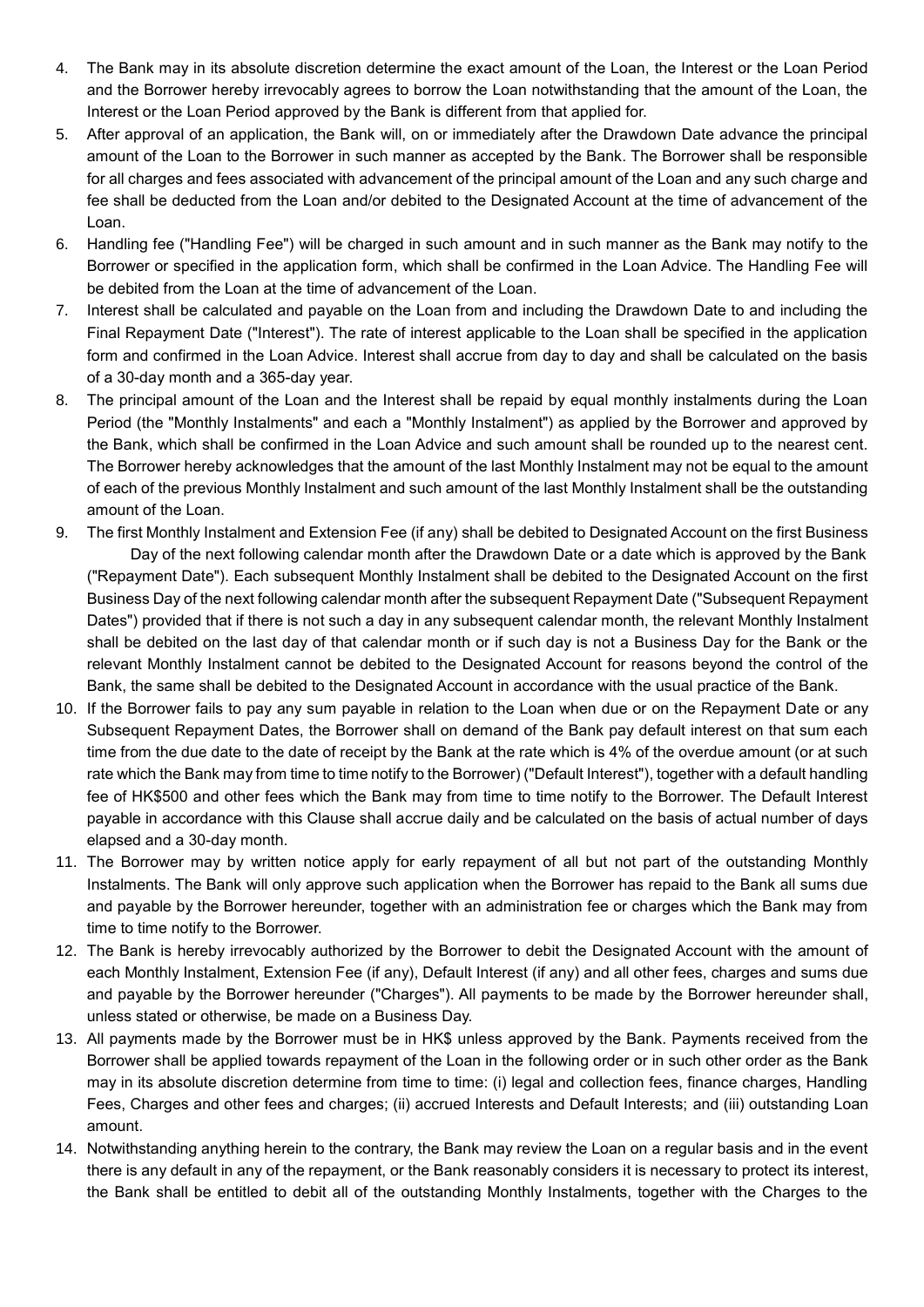- 4. The Bank may in its absolute discretion determine the exact amount of the Loan, the Interest or the Loan Period and the Borrower hereby irrevocably agrees to borrow the Loan notwithstanding that the amount of the Loan, the Interest or the Loan Period approved by the Bank is different from that applied for.
- 5. After approval of an application, the Bank will, on or immediately after the Drawdown Date advance the principal amount of the Loan to the Borrower in such manner as accepted by the Bank. The Borrower shall be responsible for all charges and fees associated with advancement of the principal amount of the Loan and any such charge and fee shall be deducted from the Loan and/or debited to the Designated Account at the time of advancement of the Loan.
- 6. Handling fee ("Handling Fee") will be charged in such amount and in such manner as the Bank may notify to the Borrower or specified in the application form, which shall be confirmed in the Loan Advice. The Handling Fee will be debited from the Loan at the time of advancement of the Loan.
- 7. Interest shall be calculated and payable on the Loan from and including the Drawdown Date to and including the Final Repayment Date ("Interest"). The rate of interest applicable to the Loan shall be specified in the application form and confirmed in the Loan Advice. Interest shall accrue from day to day and shall be calculated on the basis of a 30-day month and a 365-day year.
- 8. The principal amount of the Loan and the Interest shall be repaid by equal monthly instalments during the Loan Period (the "Monthly Instalments" and each a "Monthly Instalment") as applied by the Borrower and approved by the Bank, which shall be confirmed in the Loan Advice and such amount shall be rounded up to the nearest cent. The Borrower hereby acknowledges that the amount of the last Monthly Instalment may not be equal to the amount of each of the previous Monthly Instalment and such amount of the last Monthly Instalment shall be the outstanding amount of the Loan.
- 9. The first Monthly Instalment and Extension Fee (if any) shall be debited to Designated Account on the first Business Day of the next following calendar month after the Drawdown Date or a date which is approved by the Bank ("Repayment Date"). Each subsequent Monthly Instalment shall be debited to the Designated Account on the first Business Day of the next following calendar month after the subsequent Repayment Date ("Subsequent Repayment Dates") provided that if there is not such a day in any subsequent calendar month, the relevant Monthly Instalment shall be debited on the last day of that calendar month or if such day is not a Business Day for the Bank or the relevant Monthly Instalment cannot be debited to the Designated Account for reasons beyond the control of the Bank, the same shall be debited to the Designated Account in accordance with the usual practice of the Bank.
- 10. If the Borrower fails to pay any sum payable in relation to the Loan when due or on the Repayment Date or any Subsequent Repayment Dates, the Borrower shall on demand of the Bank pay default interest on that sum each time from the due date to the date of receipt by the Bank at the rate which is 4% of the overdue amount (or at such rate which the Bank may from time to time notify to the Borrower) ("Default Interest"), together with a default handling fee of HK\$500 and other fees which the Bank may from time to time notify to the Borrower. The Default Interest payable in accordance with this Clause shall accrue daily and be calculated on the basis of actual number of days elapsed and a 30-day month.
- 11. The Borrower may by written notice apply for early repayment of all but not part of the outstanding Monthly Instalments. The Bank will only approve such application when the Borrower has repaid to the Bank all sums due and payable by the Borrower hereunder, together with an administration fee or charges which the Bank may from time to time notify to the Borrower.
- 12. The Bank is hereby irrevocably authorized by the Borrower to debit the Designated Account with the amount of each Monthly Instalment, Extension Fee (if any), Default Interest (if any) and all other fees, charges and sums due and payable by the Borrower hereunder ("Charges"). All payments to be made by the Borrower hereunder shall, unless stated or otherwise, be made on a Business Day.
- 13. All payments made by the Borrower must be in HK\$ unless approved by the Bank. Payments received from the Borrower shall be applied towards repayment of the Loan in the following order or in such other order as the Bank may in its absolute discretion determine from time to time: (i) legal and collection fees, finance charges, Handling Fees, Charges and other fees and charges; (ii) accrued Interests and Default Interests; and (iii) outstanding Loan amount.
- 14. Notwithstanding anything herein to the contrary, the Bank may review the Loan on a regular basis and in the event there is any default in any of the repayment, or the Bank reasonably considers it is necessary to protect its interest, the Bank shall be entitled to debit all of the outstanding Monthly Instalments, together with the Charges to the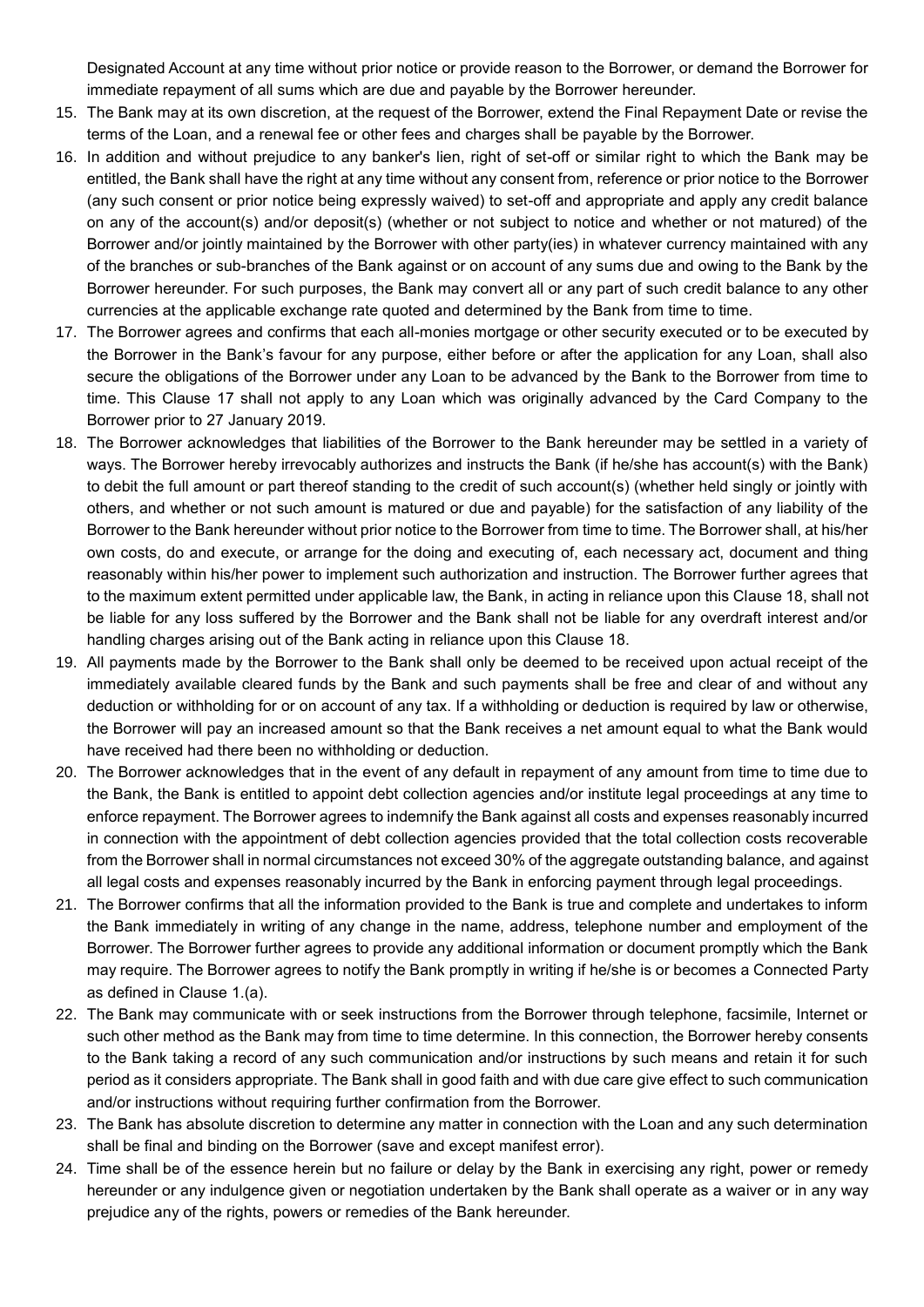Designated Account at any time without prior notice or provide reason to the Borrower, or demand the Borrower for immediate repayment of all sums which are due and payable by the Borrower hereunder.

- 15. The Bank may at its own discretion, at the request of the Borrower, extend the Final Repayment Date or revise the terms of the Loan, and a renewal fee or other fees and charges shall be payable by the Borrower.
- 16. In addition and without prejudice to any banker's lien, right of set-off or similar right to which the Bank may be entitled, the Bank shall have the right at any time without any consent from, reference or prior notice to the Borrower (any such consent or prior notice being expressly waived) to set-off and appropriate and apply any credit balance on any of the account(s) and/or deposit(s) (whether or not subject to notice and whether or not matured) of the Borrower and/or jointly maintained by the Borrower with other party(ies) in whatever currency maintained with any of the branches or sub-branches of the Bank against or on account of any sums due and owing to the Bank by the Borrower hereunder. For such purposes, the Bank may convert all or any part of such credit balance to any other currencies at the applicable exchange rate quoted and determined by the Bank from time to time.
- 17. The Borrower agrees and confirms that each all-monies mortgage or other security executed or to be executed by the Borrower in the Bank's favour for any purpose, either before or after the application for any Loan, shall also secure the obligations of the Borrower under any Loan to be advanced by the Bank to the Borrower from time to time. This Clause 17 shall not apply to any Loan which was originally advanced by the Card Company to the Borrower prior to 27 January 2019.
- 18. The Borrower acknowledges that liabilities of the Borrower to the Bank hereunder may be settled in a variety of ways. The Borrower hereby irrevocably authorizes and instructs the Bank (if he/she has account(s) with the Bank) to debit the full amount or part thereof standing to the credit of such account(s) (whether held singly or jointly with others, and whether or not such amount is matured or due and payable) for the satisfaction of any liability of the Borrower to the Bank hereunder without prior notice to the Borrower from time to time. The Borrower shall, at his/her own costs, do and execute, or arrange for the doing and executing of, each necessary act, document and thing reasonably within his/her power to implement such authorization and instruction. The Borrower further agrees that to the maximum extent permitted under applicable law, the Bank, in acting in reliance upon this Clause 18, shall not be liable for any loss suffered by the Borrower and the Bank shall not be liable for any overdraft interest and/or handling charges arising out of the Bank acting in reliance upon this Clause 18.
- 19. All payments made by the Borrower to the Bank shall only be deemed to be received upon actual receipt of the immediately available cleared funds by the Bank and such payments shall be free and clear of and without any deduction or withholding for or on account of any tax. If a withholding or deduction is required by law or otherwise, the Borrower will pay an increased amount so that the Bank receives a net amount equal to what the Bank would have received had there been no withholding or deduction.
- 20. The Borrower acknowledges that in the event of any default in repayment of any amount from time to time due to the Bank, the Bank is entitled to appoint debt collection agencies and/or institute legal proceedings at any time to enforce repayment. The Borrower agrees to indemnify the Bank against all costs and expenses reasonably incurred in connection with the appointment of debt collection agencies provided that the total collection costs recoverable from the Borrower shall in normal circumstances not exceed 30% of the aggregate outstanding balance, and against all legal costs and expenses reasonably incurred by the Bank in enforcing payment through legal proceedings.
- 21. The Borrower confirms that all the information provided to the Bank is true and complete and undertakes to inform the Bank immediately in writing of any change in the name, address, telephone number and employment of the Borrower. The Borrower further agrees to provide any additional information or document promptly which the Bank may require. The Borrower agrees to notify the Bank promptly in writing if he/she is or becomes a Connected Party as defined in Clause 1.(a).
- 22. The Bank may communicate with or seek instructions from the Borrower through telephone, facsimile, Internet or such other method as the Bank may from time to time determine. In this connection, the Borrower hereby consents to the Bank taking a record of any such communication and/or instructions by such means and retain it for such period as it considers appropriate. The Bank shall in good faith and with due care give effect to such communication and/or instructions without requiring further confirmation from the Borrower.
- 23. The Bank has absolute discretion to determine any matter in connection with the Loan and any such determination shall be final and binding on the Borrower (save and except manifest error).
- 24. Time shall be of the essence herein but no failure or delay by the Bank in exercising any right, power or remedy hereunder or any indulgence given or negotiation undertaken by the Bank shall operate as a waiver or in any way prejudice any of the rights, powers or remedies of the Bank hereunder.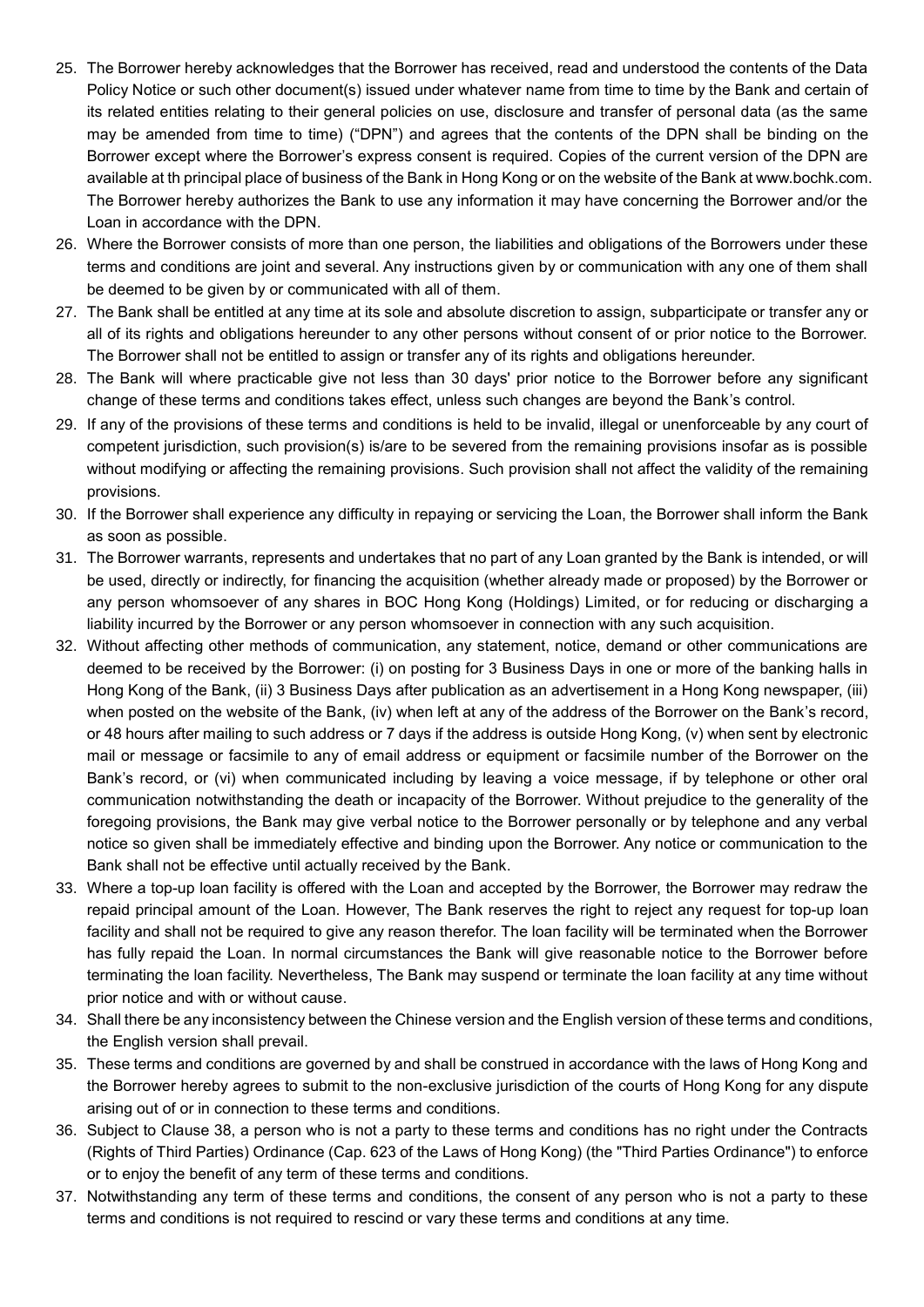- 25. The Borrower hereby acknowledges that the Borrower has received, read and understood the contents of the Data Policy Notice or such other document(s) issued under whatever name from time to time by the Bank and certain of its related entities relating to their general policies on use, disclosure and transfer of personal data (as the same may be amended from time to time) ("DPN") and agrees that the contents of the DPN shall be binding on the Borrower except where the Borrower's express consent is required. Copies of the current version of the DPN are available at th principal place of business of the Bank in Hong Kong or on the website of the Bank at www.bochk.com. The Borrower hereby authorizes the Bank to use any information it may have concerning the Borrower and/or the Loan in accordance with the DPN.
- 26. Where the Borrower consists of more than one person, the liabilities and obligations of the Borrowers under these terms and conditions are joint and several. Any instructions given by or communication with any one of them shall be deemed to be given by or communicated with all of them.
- 27. The Bank shall be entitled at any time at its sole and absolute discretion to assign, subparticipate or transfer any or all of its rights and obligations hereunder to any other persons without consent of or prior notice to the Borrower. The Borrower shall not be entitled to assign or transfer any of its rights and obligations hereunder.
- 28. The Bank will where practicable give not less than 30 days' prior notice to the Borrower before any significant change of these terms and conditions takes effect, unless such changes are beyond the Bank's control.
- 29. If any of the provisions of these terms and conditions is held to be invalid, illegal or unenforceable by any court of competent jurisdiction, such provision(s) is/are to be severed from the remaining provisions insofar as is possible without modifying or affecting the remaining provisions. Such provision shall not affect the validity of the remaining provisions.
- 30. If the Borrower shall experience any difficulty in repaying or servicing the Loan, the Borrower shall inform the Bank as soon as possible.
- 31. The Borrower warrants, represents and undertakes that no part of any Loan granted by the Bank is intended, or will be used, directly or indirectly, for financing the acquisition (whether already made or proposed) by the Borrower or any person whomsoever of any shares in BOC Hong Kong (Holdings) Limited, or for reducing or discharging a liability incurred by the Borrower or any person whomsoever in connection with any such acquisition.
- 32. Without affecting other methods of communication, any statement, notice, demand or other communications are deemed to be received by the Borrower: (i) on posting for 3 Business Days in one or more of the banking halls in Hong Kong of the Bank, (ii) 3 Business Days after publication as an advertisement in a Hong Kong newspaper, (iii) when posted on the website of the Bank, (iv) when left at any of the address of the Borrower on the Bank's record, or 48 hours after mailing to such address or 7 days if the address is outside Hong Kong, (v) when sent by electronic mail or message or facsimile to any of email address or equipment or facsimile number of the Borrower on the Bank's record, or (vi) when communicated including by leaving a voice message, if by telephone or other oral communication notwithstanding the death or incapacity of the Borrower. Without prejudice to the generality of the foregoing provisions, the Bank may give verbal notice to the Borrower personally or by telephone and any verbal notice so given shall be immediately effective and binding upon the Borrower. Any notice or communication to the Bank shall not be effective until actually received by the Bank.
- 33. Where a top-up loan facility is offered with the Loan and accepted by the Borrower, the Borrower may redraw the repaid principal amount of the Loan. However, The Bank reserves the right to reject any request for top-up loan facility and shall not be required to give any reason therefor. The loan facility will be terminated when the Borrower has fully repaid the Loan. In normal circumstances the Bank will give reasonable notice to the Borrower before terminating the loan facility. Nevertheless, The Bank may suspend or terminate the loan facility at any time without prior notice and with or without cause.
- 34. Shall there be any inconsistency between the Chinese version and the English version of these terms and conditions, the English version shall prevail.
- 35. These terms and conditions are governed by and shall be construed in accordance with the laws of Hong Kong and the Borrower hereby agrees to submit to the non-exclusive jurisdiction of the courts of Hong Kong for any dispute arising out of or in connection to these terms and conditions.
- 36. Subject to Clause 38, a person who is not a party to these terms and conditions has no right under the Contracts (Rights of Third Parties) Ordinance (Cap. 623 of the Laws of Hong Kong) (the "Third Parties Ordinance") to enforce or to enjoy the benefit of any term of these terms and conditions.
- 37. Notwithstanding any term of these terms and conditions, the consent of any person who is not a party to these terms and conditions is not required to rescind or vary these terms and conditions at any time.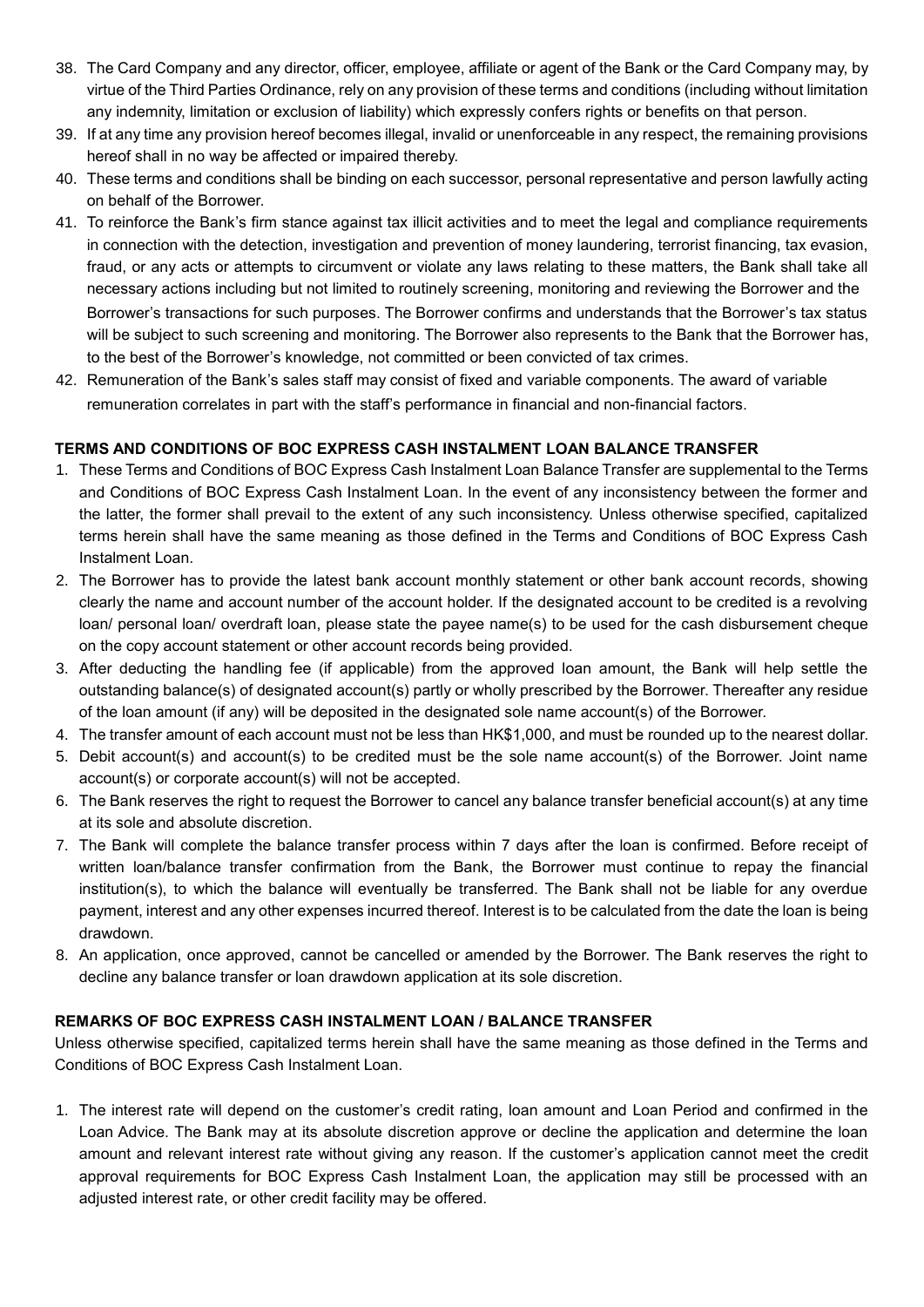- 38. The Card Company and any director, officer, employee, affiliate or agent of the Bank or the Card Company may, by virtue of the Third Parties Ordinance, rely on any provision of these terms and conditions (including without limitation any indemnity, limitation or exclusion of liability) which expressly confers rights or benefits on that person.
- 39. If at any time any provision hereof becomes illegal, invalid or unenforceable in any respect, the remaining provisions hereof shall in no way be affected or impaired thereby.
- 40. These terms and conditions shall be binding on each successor, personal representative and person lawfully acting on behalf of the Borrower.
- 41. To reinforce the Bank's firm stance against tax illicit activities and to meet the legal and compliance requirements in connection with the detection, investigation and prevention of money laundering, terrorist financing, tax evasion, fraud, or any acts or attempts to circumvent or violate any laws relating to these matters, the Bank shall take all necessary actions including but not limited to routinely screening, monitoring and reviewing the Borrower and the Borrower's transactions for such purposes. The Borrower confirms and understands that the Borrower's tax status will be subject to such screening and monitoring. The Borrower also represents to the Bank that the Borrower has, to the best of the Borrower's knowledge, not committed or been convicted of tax crimes.
- 42. Remuneration of the Bank's sales staff may consist of fixed and variable components. The award of variable remuneration correlates in part with the staff's performance in financial and non-financial factors.

## **TERMS AND CONDITIONS OF BOC EXPRESS CASH INSTALMENT LOAN BALANCE TRANSFER**

- 1. These Terms and Conditions of BOC Express Cash Instalment Loan Balance Transfer are supplemental to the Terms and Conditions of BOC Express Cash Instalment Loan. In the event of any inconsistency between the former and the latter, the former shall prevail to the extent of any such inconsistency. Unless otherwise specified, capitalized terms herein shall have the same meaning as those defined in the Terms and Conditions of BOC Express Cash Instalment Loan.
- 2. The Borrower has to provide the latest bank account monthly statement or other bank account records, showing clearly the name and account number of the account holder. If the designated account to be credited is a revolving loan/ personal loan/ overdraft loan, please state the payee name(s) to be used for the cash disbursement cheque on the copy account statement or other account records being provided.
- 3. After deducting the handling fee (if applicable) from the approved loan amount, the Bank will help settle the outstanding balance(s) of designated account(s) partly or wholly prescribed by the Borrower. Thereafter any residue of the loan amount (if any) will be deposited in the designated sole name account(s) of the Borrower.
- 4. The transfer amount of each account must not be less than HK\$1,000, and must be rounded up to the nearest dollar.
- 5. Debit account(s) and account(s) to be credited must be the sole name account(s) of the Borrower. Joint name account(s) or corporate account(s) will not be accepted.
- 6. The Bank reserves the right to request the Borrower to cancel any balance transfer beneficial account(s) at any time at its sole and absolute discretion.
- 7. The Bank will complete the balance transfer process within 7 days after the loan is confirmed. Before receipt of written loan/balance transfer confirmation from the Bank, the Borrower must continue to repay the financial institution(s), to which the balance will eventually be transferred. The Bank shall not be liable for any overdue payment, interest and any other expenses incurred thereof. Interest is to be calculated from the date the loan is being drawdown.
- 8. An application, once approved, cannot be cancelled or amended by the Borrower. The Bank reserves the right to decline any balance transfer or loan drawdown application at its sole discretion.

## **REMARKS OF BOC EXPRESS CASH INSTALMENT LOAN / BALANCE TRANSFER**

Unless otherwise specified, capitalized terms herein shall have the same meaning as those defined in the Terms and Conditions of BOC Express Cash Instalment Loan.

1. The interest rate will depend on the customer's credit rating, loan amount and Loan Period and confirmed in the Loan Advice. The Bank may at its absolute discretion approve or decline the application and determine the loan amount and relevant interest rate without giving any reason. If the customer's application cannot meet the credit approval requirements for BOC Express Cash Instalment Loan, the application may still be processed with an adjusted interest rate, or other credit facility may be offered.